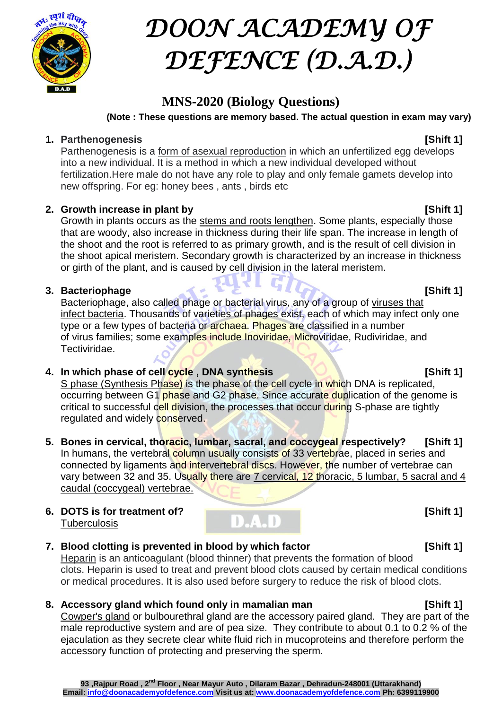

# *DOON ACADEMY OF DEFENCE (D.A.D.)*

# **MNS-2020 (Biology Questions)**

**(Note : These questions are memory based. The actual question in exam may vary)**

### **1. Parthenogenesis [Shift 1]**

Parthenogenesis is a form of asexual reproduction in which an unfertilized egg develops into a new individual. It is a method in which a new individual developed without fertilization.Here male do not have any role to play and only female gamets develop into new offspring. For eg: honey bees , ants , birds etc

# **2. Growth increase in plant by [Shift 1]**

Growth in plants occurs as the stems and roots lengthen. Some plants, especially those that are woody, also increase in thickness during their life span. The increase in length of the shoot and the root is referred to as primary growth, and is the result of cell division in the shoot apical meristem. Secondary growth is characterized by an increase in thickness or girth of the plant, and is caused by cell division in the lateral meristem.

### **3. Bacteriophage [Shift 1]**

Bacteriophage, also called phage or bacterial virus, any of a group of viruses that infect bacteria. Thousands of varieties of phages exist, each of which may infect only one type or a few types of bacteria or archaea. Phages are classified in a number of virus families; some examples include Inoviridae, Microviridae, Rudiviridae, and Tectiviridae.

### **4. In which phase of cell cycle , DNA synthesis [Shift 1]**

S phase (Synthesis Phase) is the phase of the cell cycle in which DNA is replicated. occurring between G1 phase and G2 phase. Since accurate duplication of the genome is critical to successful cell division, the processes that occur during S-phase are tightly regulated and widely conserved.

- **5. Bones in cervical, thoracic, lumbar, sacral, and coccygeal respectively? [Shift 1]** In humans, the vertebral column usually consists of 33 vertebrae, placed in series and connected by ligaments and intervertebral discs. However, the number of vertebrae can vary between 32 and 35. Usually there are 7 cervical, 12 thoracic, 5 lumbar, 5 sacral and 4 caudal (coccygeal) vertebrae.
- **6. DOTS is for treatment of? CONSIDER THE ISS** [Shift 1] **Tuberculosis**

# **7. Blood clotting is prevented in blood by which factor [Shift 1]**

Heparin is an anticoagulant (blood thinner) that prevents the formation of blood clots. Heparin is used to treat and prevent blood clots caused by certain medical conditions or medical procedures. It is also used before surgery to reduce the risk of blood clots.

# **8. Accessory gland which found only in mamalian man [Shift 1]**

Cowper's gland or bulbourethral gland are the accessory paired gland. They are part of the male reproductive system and are of pea size. They contribute to about 0.1 to 0.2 % of the ejaculation as they secrete clear white fluid rich in mucoproteins and therefore perform the accessory function of protecting and preserving the sperm.

#### **93 ,Rajpur Road , 2nd Floor , Near Mayur Auto , Dilaram Bazar , Dehradun-248001 (Uttarakhand) Email: info@doonacademyofdefence.com Visit us at: www.doonacademyofdefence.com Ph: 6399119900**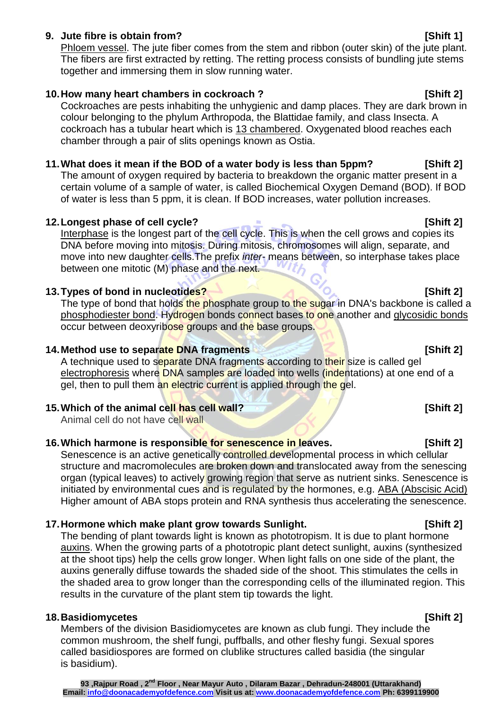### **9. Jute fibre is obtain from? [Shift 1]**

Phloem vessel. The jute fiber comes from the stem and ribbon (outer skin) of the jute plant. The fibers are first extracted by retting. The retting process consists of bundling jute stems together and immersing them in slow running water.

### **10.How many heart chambers in cockroach ? [Shift 2]**

Cockroaches are pests inhabiting the unhygienic and damp places. They are dark brown in colour belonging to the phylum Arthropoda, the Blattidae family, and class Insecta. A cockroach has a tubular heart which is 13 chambered. Oxygenated blood reaches each chamber through a pair of slits openings known as Ostia.

### **11.What does it mean if the BOD of a water body is less than 5ppm? [Shift 2]**

The amount of oxygen required by bacteria to breakdown the organic matter present in a certain volume of a sample of water, is called Biochemical Oxygen Demand (BOD). If BOD of water is less than 5 ppm, it is clean. If BOD increases, water pollution increases.

### **12.Longest phase of cell cycle? [Shift 2]**

Interphase is the longest part of the cell cycle. This is when the cell grows and copies its DNA before moving into mitosis. During mitosis, chromosomes will align, separate, and move into new daughter cells.The prefix *inter-* means between, so interphase takes place between one mitotic (M) phase and the next.

### **13. Types of bond in nucleotides? 13. Types of bond in nucleotides? 13. Types**

The type of bond that holds the phosphate group to the sugar in DNA's backbone is called a phosphodiester bond. Hydrogen bonds connect bases to one another and glycosidic bonds occur between deoxyribose groups and the base groups.

### **14.Method use to separate DNA fragments [Shift 2]**

A technique used to separate DNA fragments according to their size is called gel electrophoresis where DNA samples are loaded into wells (indentations) at one end of a gel, then to pull them an electric current is applied through the gel.

### **15. Which of the animal cell has cell wall? 15. Which of the animal cell has cell wall?**

Animal cell do not have cell wall

### **16.Which harmone is responsible for senescence in leaves. [Shift 2]**

Senescence is an active genetically controlled developmental process in which cellular structure and macromolecules are broken down and translocated away from the senescing organ (typical leaves) to actively growing region that serve as nutrient sinks. Senescence is initiated by environmental cues and is regulated by the hormones, e.g. ABA (Abscisic Acid) Higher amount of ABA stops protein and RNA synthesis thus accelerating the senescence.

### **17.Hormone which make plant grow towards Sunlight. [Shift 2]**

The bending of plant towards light is known as phototropism. It is due to plant hormone auxins. When the growing parts of a phototropic plant detect sunlight, auxins (synthesized at the shoot tips) help the cells grow longer. When light falls on one side of the plant, the auxins generally diffuse towards the shaded side of the shoot. This stimulates the cells in the shaded area to grow longer than the corresponding cells of the illuminated region. This results in the curvature of the plant stem tip towards the light.

#### **18.Basidiomycetes [Shift 2]**

Members of the division Basidiomycetes are known as club fungi. They include the common mushroom, the shelf fungi, puffballs, and other fleshy fungi. Sexual spores called basidiospores are formed on clublike structures called basidia (the singular is basidium).

#### **93 ,Rajpur Road , 2nd Floor , Near Mayur Auto , Dilaram Bazar , Dehradun-248001 (Uttarakhand) Email: info@doonacademyofdefence.com Visit us at: www.doonacademyofdefence.com Ph: 6399119900**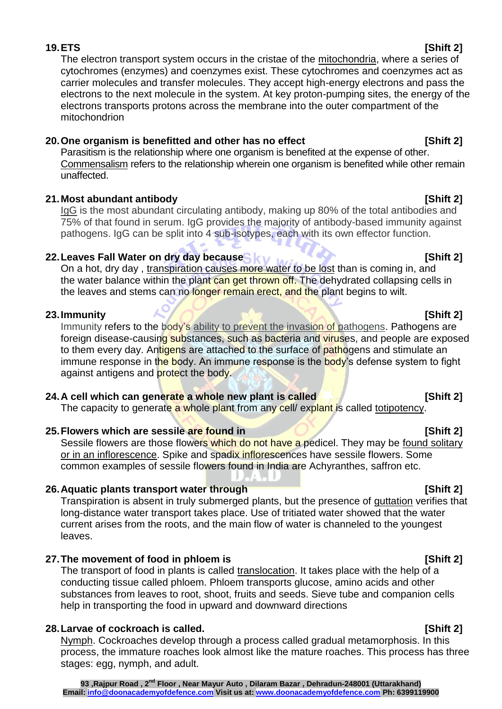### **19.ETS [Shift 2]**

The electron transport system occurs in the cristae of the mitochondria, where a series of cytochromes (enzymes) and coenzymes exist. These cytochromes and coenzymes act as carrier molecules and transfer molecules. They accept high-energy electrons and pass the electrons to the next molecule in the system. At key proton-pumping sites, the energy of the electrons transports protons across the membrane into the outer compartment of the mitochondrion

### **20.One organism is benefitted and other has no effect [Shift 2]**

Parasitism is the relationship where one organism is benefited at the expense of other. Commensalism refers to the relationship wherein one organism is benefited while other remain unaffected.

### **21.Most abundant antibody [Shift 2]**

IgG is the most abundant circulating antibody, making up 80% of the total antibodies and 75% of that found in serum. IgG provides the majority of antibody-based immunity against pathogens. IgG can be split into 4 sub-isotypes, each with its own effector function.

### **22.Leaves Fall Water on dry day because [Shift 2]**

On a hot, dry day, transpiration causes more water to be lost than is coming in, and the water balance within the plant can get thrown off. The dehydrated collapsing cells in the leaves and stems can no longer remain erect, and the plant begins to wilt.

### **23.Immunity Shift 2**

Immunity refers to the body's ability to prevent the invasion of pathogens. Pathogens are foreign disease-causing substances, such as bacteria and viruses, and people are exposed to them every day. Antigens are attached to the surface of pathogens and stimulate an immune response in the body. An immune response is the body's defense system to fight against antigens and protect the body.

### **24.A cell which can generate a whole new plant is called [Shift 2]**

The capacity to generate a whole plant from any cell/ explant is called totipotency.

### **25.Flowers which are sessile are found in [Shift 2]**

Sessile flowers are those flowers which do not have a pedicel. They may be found solitary or in an inflorescence. Spike and spadix inflorescences have sessile flowers. Some common examples of sessile flowers found in India are Achyranthes, saffron etc.

### **26.Aquatic plants transport water through [Shift 2]**

Transpiration is absent in truly submerged plants, but the presence of guttation verifies that long-distance water transport takes place. Use of tritiated water showed that the water current arises from the roots, and the main flow of water is channeled to the youngest leaves.

### **27.The movement of food in phloem is [Shift 2]**

The transport of food in plants is called translocation. It takes place with the help of a conducting tissue called phloem. Phloem transports glucose, amino acids and other substances from leaves to root, shoot, fruits and seeds. Sieve tube and companion cells help in transporting the food in upward and downward directions

# **28.Larvae of cockroach is called. [Shift 2]**

Nymph. Cockroaches develop through a process called gradual metamorphosis. In this process, the immature roaches look almost like the mature roaches. This process has three stages: egg, nymph, and adult.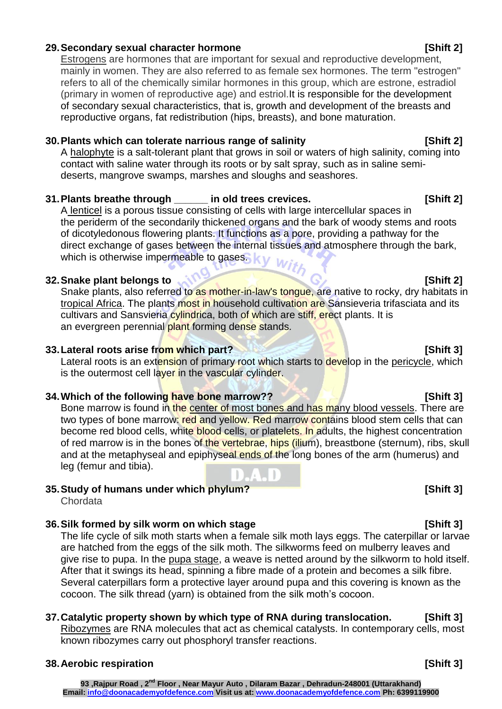#### **93 ,Rajpur Road , 2nd Floor , Near Mayur Auto , Dilaram Bazar , Dehradun-248001 (Uttarakhand) Email: info@doonacademyofdefence.com Visit us at: www.doonacademyofdefence.com Ph: 6399119900**

### **29.Secondary sexual character hormone [Shift 2]**

Estrogens are hormones that are important for sexual and reproductive development, mainly in women. They are also referred to as female sex hormones. The term "estrogen" refers to all of the chemically similar hormones in this group, which are estrone, estradiol (primary in women of reproductive age) and estriol.It is responsible for the development of secondary sexual characteristics, that is, growth and development of the breasts and reproductive organs, fat redistribution (hips, breasts), and bone maturation.

### **30.Plants which can tolerate narrious range of salinity [Shift 2]**

A halophyte is a salt-tolerant plant that grows in soil or waters of high salinity, coming into contact with saline water through its roots or by salt spray, such as in saline semideserts, mangrove swamps, marshes and sloughs and seashores.

### **31.Plants breathe through \_\_\_\_\_\_ in old trees crevices. [Shift 2]**

A lenticel is a porous tissue consisting of cells with large intercellular spaces in the [periderm](https://en.wikipedia.org/wiki/Periderm) of the secondarily thickened organs and the [bark](https://en.wikipedia.org/wiki/Bark_(botany)) of woody stems and roots of [dicotyledonous](https://en.wikipedia.org/wiki/Dicotyledon) flowering plants. It functions as a pore, providing a pathway for the direct [exchange of gases](https://en.wikipedia.org/wiki/Gas_exchange) between the internal tissues and atmosphere through the bark, direct exchange of gases. The direct exchange of gases ky With

### **32. Snake plant belongs to <b>interval interval in the state of the state of Shift 2**

Snake plants, also referred to as mother-in-law's tongue, are native to rocky, dry habitats in tropical Africa. The plants most in household cultivation are Sansieveria trifasciata and its cultivars and Sansvieria cylindrica, both of which are stiff, erect plants. It is an evergreen perennial plant forming dense stands.

### **33.Lateral roots arise from which part? [Shift 3]**

Lateral roots is an extension of primary root which starts to develop in the pericycle, which is the outermost cell layer in the vascular cylinder.

### **34. Which of the following have bone marrow?? EXAMPLE 19 ISO 1899 ISO 1899 ISO 1899 ISO 1899 ISO 1899 ISO 1899**

Bone marrow is found in the center of most bones and has many blood vessels. There are two types of bone marrow: red and yellow. Red marrow contains blood stem cells that can become red blood cells, white blood cells, or platelets. In adults, the highest concentration of red marrow is in the bones of the vertebrae, hips (ilium), breastbone (sternum), ribs, skull and at the metaphyseal and epiphyseal ends of the long bones of the arm (humerus) and leg (femur and tibia).

# **35.Study of humans under which phylum? [Shift 3]**

Chordata

### **36.Silk formed by silk worm on which stage [Shift 3]**

The life cycle of silk moth starts when a female silk moth lays eggs. The caterpillar or larvae are hatched from the eggs of the silk moth. The silkworms feed on mulberry leaves and give rise to pupa. In the pupa stage, a weave is netted around by the silkworm to hold itself. After that it swings its head, spinning a fibre made of a protein and becomes a silk fibre. Several caterpillars form a protective layer around pupa and this covering is known as the cocoon. The silk thread (yarn) is obtained from the silk moth's cocoon.

# **37.Catalytic property shown by which type of RNA during translocation. [Shift 3]**

Ribozymes are RNA molecules that act as chemical catalysts. In contemporary cells, most known ribozymes carry out phosphoryl transfer reactions.

### **38.Aerobic respiration [Shift 3]**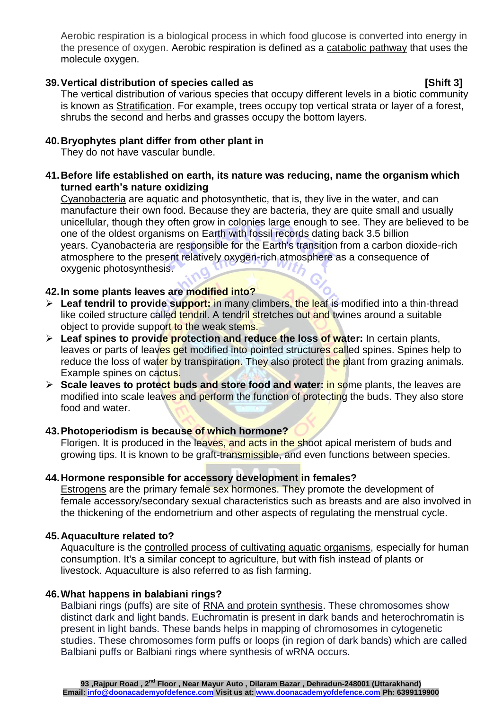Aerobic respiration is a biological process in which food glucose is converted into energy in the presence of oxygen. Aerobic respiration is defined as a catabolic pathway that uses the molecule oxygen.

#### **39.Vertical distribution of species called as [Shift 3]**

The vertical distribution of various species that occupy different levels in a biotic community is known as Stratification. For example, trees occupy top vertical strata or layer of a forest, shrubs the second and herbs and grasses occupy the bottom layers.

### **40.Bryophytes plant differ from other plant in**

They do not have vascular bundle.

**41.Before life established on earth, its nature was reducing, name the organism which turned earth's nature oxidizing**

Cyanobacteria are aquatic and photosynthetic, that is, they live in the water, and can manufacture their own food. Because they are bacteria, they are quite small and usually unicellular, though they often grow in colonies large enough to see. They are believed to be one of the oldest organisms on Earth with fossil records dating back 3.5 billion years. Cyanobacteria are responsible for the Earth's transition from a carbon dioxide-rich atmosphere to the present relatively oxygen-rich atmosphere as a consequence of oxygenic photosynthesis.

### **42.In some plants leaves are modified into?**

- **Leaf tendril to provide support:** in many climbers, the leaf is modified into a thin-thread like coiled structure called tendril. A tendril stretches out and twines around a suitable object to provide support to the weak stems.
- **Leaf spines to provide protection and reduce the loss of water:** In certain plants, leaves or parts of leaves get modified into pointed structures called spines. Spines help to reduce the loss of water by transpiration. They also protect the plant from grazing animals. Example spines on cactus.
- **Scale leaves to protect buds and store food and water:** in some plants, the leaves are modified into scale leaves and perform the function of protecting the buds. They also store food and water.

### **43.Photoperiodism is because of which hormone?**

Florigen. It is produced in the [leaves,](https://en.wikipedia.org/wiki/Leaf) and acts in the [shoot apical meristem](https://en.wikipedia.org/wiki/Shoot_apical_meristem) of [buds](https://en.wikipedia.org/wiki/Bud) and growing tips. It is known to be graft-transmissible, and even functions between species.

### **44.Hormone responsible for accessory development in females?**

Estrogens are the primary female sex hormones. They promote the development of female accessory/secondary sexual characteristics such as breasts and are also involved in the thickening of the endometrium and other aspects of regulating the menstrual cycle.

### **45.Aquaculture related to?**

Aquaculture is the controlled process of cultivating aquatic organisms, especially for human consumption. It's a similar concept to agriculture, but with fish instead of plants or livestock. Aquaculture is also referred to as fish farming.

### **46.What happens in balabiani rings?**

Balbiani rings (puffs) are site of RNA and protein synthesis. These chromosomes show distinct dark and light bands. Euchromatin is present in dark bands and heterochromatin is present in light bands. These bands helps in mapping of chromosomes in cytogenetic studies. These chromosomes form puffs or loops (in region of dark bands) which are called Balbiani puffs or Balbiani rings where synthesis of wRNA occurs.